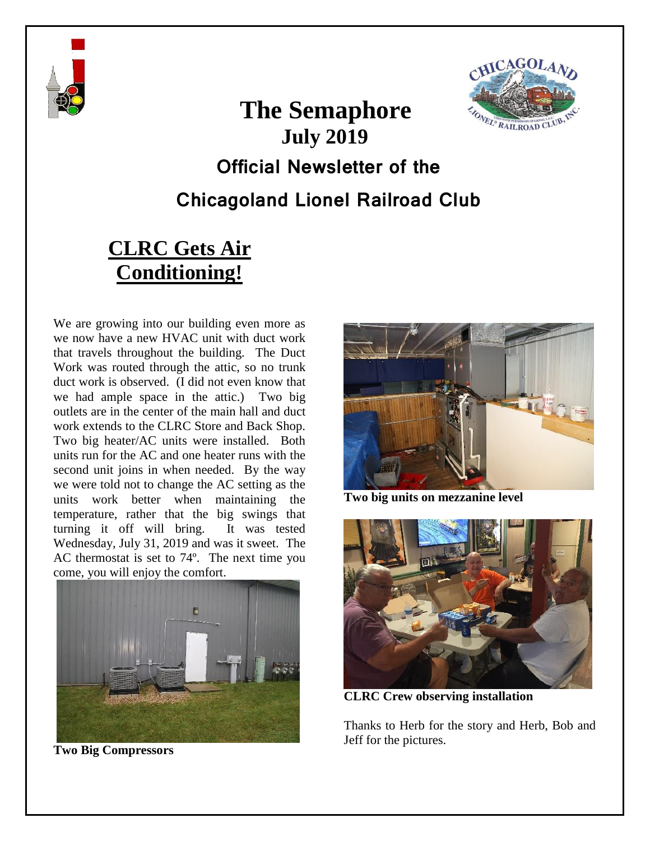

# **The Semaphore July 2019 Official Newsletter of the Chicagoland Lionel Railroad Club**

# **CLRC Gets Air Conditioning!**

We are growing into our building even more as we now have a new HVAC unit with duct work that travels throughout the building. The Duct Work was routed through the attic, so no trunk duct work is observed. (I did not even know that we had ample space in the attic.) Two big outlets are in the center of the main hall and duct work extends to the CLRC Store and Back Shop. Two big heater/AC units were installed. Both units run for the AC and one heater runs with the second unit joins in when needed. By the way we were told not to change the AC setting as the units work better when maintaining the temperature, rather that the big swings that turning it off will bring. It was tested Wednesday, July 31, 2019 and was it sweet. The AC thermostat is set to 74º. The next time you come, you will enjoy the comfort.



**Two Big Compressors**



 $CAGOL$ 

**FONEL® RAILRO** 

**Two big units on mezzanine level**



**CLRC Crew observing installation**

Thanks to Herb for the story and Herb, Bob and Jeff for the pictures.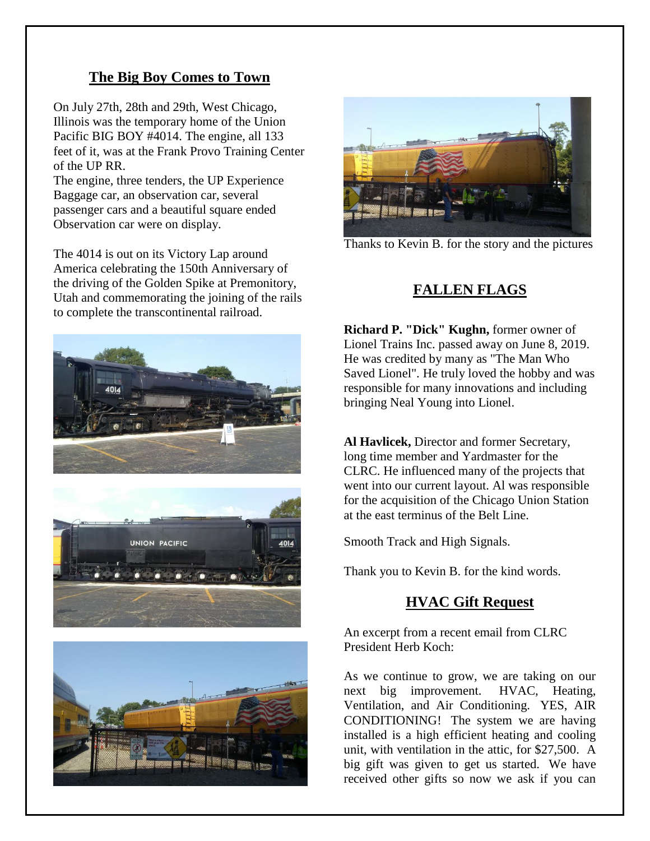#### **The Big Boy Comes to Town**

On July 27th, 28th and 29th, West Chicago, Illinois was the temporary home of the Union Pacific BIG BOY #4014. The engine, all 133 feet of it, was at the Frank Provo Training Center of the UP RR.

The engine, three tenders, the UP Experience Baggage car, an observation car, several passenger cars and a beautiful square ended Observation car were on display.

The 4014 is out on its Victory Lap around America celebrating the 150th Anniversary of the driving of the Golden Spike at Premonitory, Utah and commemorating the joining of the rails to complete the transcontinental railroad.







Thanks to Kevin B. for the story and the pictures

#### **FALLEN FLAGS**

**Richard P. "Dick" Kughn,** former owner of Lionel Trains Inc. passed away on June 8, 2019. He was credited by many as "The Man Who Saved Lionel". He truly loved the hobby and was responsible for many innovations and including bringing Neal Young into Lionel.

**Al Havlicek,** Director and former Secretary, long time member and Yardmaster for the CLRC. He influenced many of the projects that went into our current layout. Al was responsible for the acquisition of the Chicago Union Station at the east terminus of the Belt Line.

Smooth Track and High Signals.

Thank you to Kevin B. for the kind words.

#### **HVAC Gift Request**

An excerpt from a recent email from CLRC President Herb Koch:

As we continue to grow, we are taking on our next big improvement. HVAC, Heating, Ventilation, and Air Conditioning. YES, AIR CONDITIONING! The system we are having installed is a high efficient heating and cooling unit, with ventilation in the attic, for \$27,500. A big gift was given to get us started. We have received other gifts so now we ask if you can